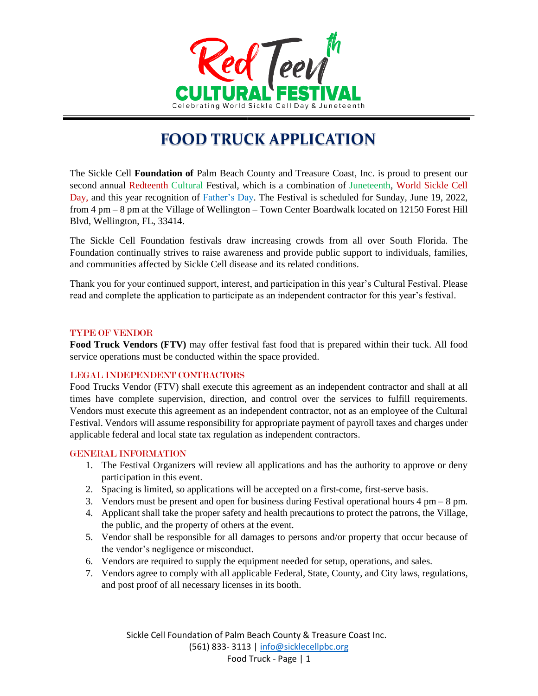

# **FOOD TRUCK APPLICATION**

The Sickle Cell **Foundation of** Palm Beach County and Treasure Coast, Inc. is proud to present our second annual Redteenth Cultural Festival, which is a combination of Juneteenth, World Sickle Cell Day, and this year recognition of Father's Day. The Festival is scheduled for Sunday, June 19, 2022, from 4 pm – 8 pm at the Village of Wellington – Town Center Boardwalk located on 12150 Forest Hill Blvd, Wellington, FL, 33414.

The Sickle Cell Foundation festivals draw increasing crowds from all over South Florida. The Foundation continually strives to raise awareness and provide public support to individuals, families, and communities affected by Sickle Cell disease and its related conditions.

Thank you for your continued support, interest, and participation in this year's Cultural Festival. Please read and complete the application to participate as an independent contractor for this year's festival.

#### TYPE OF VENDOR

**Food Truck Vendors (FTV)** may offer festival fast food that is prepared within their tuck. All food service operations must be conducted within the space provided.

#### LEGAL INDEPENDENT CONTRACTORS

Food Trucks Vendor (FTV) shall execute this agreement as an independent contractor and shall at all times have complete supervision, direction, and control over the services to fulfill requirements. Vendors must execute this agreement as an independent contractor, not as an employee of the Cultural Festival. Vendors will assume responsibility for appropriate payment of payroll taxes and charges under applicable federal and local state tax regulation as independent contractors.

#### GENERAL INFORMATION

- 1. The Festival Organizers will review all applications and has the authority to approve or deny participation in this event.
- 2. Spacing is limited, so applications will be accepted on a first-come, first-serve basis.
- 3. Vendors must be present and open for business during Festival operational hours 4 pm 8 pm.
- 4. Applicant shall take the proper safety and health precautions to protect the patrons, the Village, the public, and the property of others at the event.
- 5. Vendor shall be responsible for all damages to persons and/or property that occur because of the vendor's negligence or misconduct.
- 6. Vendors are required to supply the equipment needed for setup, operations, and sales.
- 7. Vendors agree to comply with all applicable Federal, State, County, and City laws, regulations, and post proof of all necessary licenses in its booth.

Sickle Cell Foundation of Palm Beach County & Treasure Coast Inc. (561) 833- 3113 | [info@sicklecellpbc.org](mailto:info@sicklecellpbc.org) Food Truck - Page | 1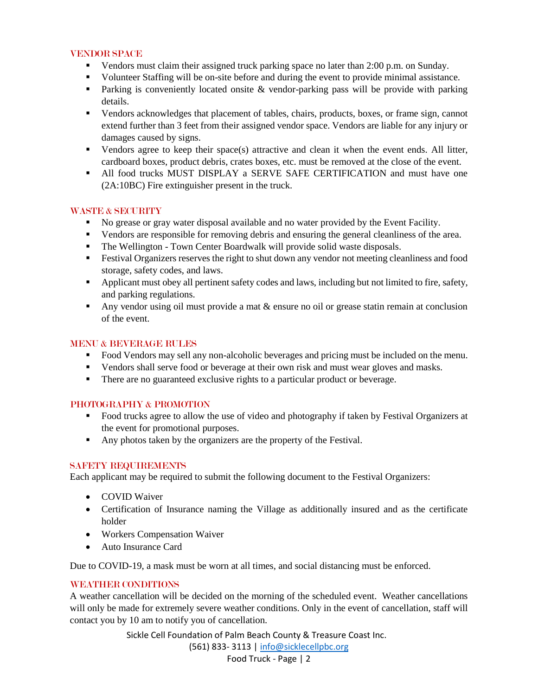### VENDOR SPACE

- Vendors must claim their assigned truck parking space no later than 2:00 p.m. on Sunday.
- Volunteer Staffing will be on-site before and during the event to provide minimal assistance.
- **Parking is conveniently located onsite & vendor-parking pass will be provide with parking** details.
- Vendors acknowledges that placement of tables, chairs, products, boxes, or frame sign, cannot extend further than 3 feet from their assigned vendor space. Vendors are liable for any injury or damages caused by signs.
- Vendors agree to keep their space(s) attractive and clean it when the event ends. All litter, cardboard boxes, product debris, crates boxes, etc. must be removed at the close of the event.
- All food trucks MUST DISPLAY a SERVE SAFE CERTIFICATION and must have one (2A:10BC) Fire extinguisher present in the truck.

# WASTE & SECURITY

- No grease or gray water disposal available and no water provided by the Event Facility.
- Vendors are responsible for removing debris and ensuring the general cleanliness of the area.
- The Wellington Town Center Boardwalk will provide solid waste disposals.
- Festival Organizers reserves the right to shut down any vendor not meeting cleanliness and food storage, safety codes, and laws.
- **•** Applicant must obey all pertinent safety codes and laws, including but not limited to fire, safety, and parking regulations.
- Any vendor using oil must provide a mat  $\&$  ensure no oil or grease statin remain at conclusion of the event.

# MENU & BEVERAGE RULES

- Food Vendors may sell any non-alcoholic beverages and pricing must be included on the menu.
- Vendors shall serve food or beverage at their own risk and must wear gloves and masks.
- There are no guaranteed exclusive rights to a particular product or beverage.

# PHOTOGRAPHY & PROMOTION

- Food trucks agree to allow the use of video and photography if taken by Festival Organizers at the event for promotional purposes.
- Any photos taken by the organizers are the property of the Festival.

# SAFETY REQUIREMENTS

Each applicant may be required to submit the following document to the Festival Organizers:

- COVID Waiver
- Certification of Insurance naming the Village as additionally insured and as the certificate holder
- Workers Compensation Waiver
- Auto Insurance Card

Due to COVID-19, a mask must be worn at all times, and social distancing must be enforced.

# WEATHER CONDITIONS

A weather cancellation will be decided on the morning of the scheduled event. Weather cancellations will only be made for extremely severe weather conditions. Only in the event of cancellation, staff will contact you by 10 am to notify you of cancellation.

Sickle Cell Foundation of Palm Beach County & Treasure Coast Inc.

(561) 833- 3113 | [info@sicklecellpbc.org](mailto:info@sicklecellpbc.org)

Food Truck - Page | 2